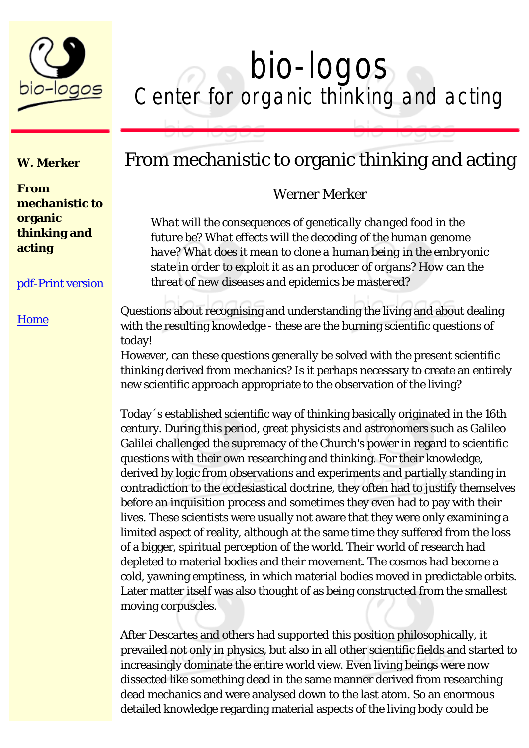

# bio-logos<br>Center for organic thinking and acting

#### **W. Merker**

**From mechanistic to organic thinking and acting**

#### [pdf-Print version](file:///C|/Dokumente%20und%20Einstellungen/Werner%20Merker/Eigene%20Dateien/Homepage%20bio-logos/Druckversion/leitartikel.pdf)

#### **[Home](file:///C|/Dokumente%20und%20Einstellungen/Werner%20Merker/Eigene%20Dateien/Homepage%20bio-logos/Druckversion/index.htm)**

### From mechanistic to organic thinking and acting

#### Werner Merker

*What will the consequences of genetically changed food in the future be? What effects will the decoding of the human genome have? What does it mean to clone a human being in the embryonic state in order to exploit it as an producer of organs? How can the threat of new diseases and epidemics be mastered?*

Questions about recognising and understanding the living and about dealing with the resulting knowledge - these are the burning scientific questions of today!

However, can these questions generally be solved with the present scientific thinking derived from mechanics? Is it perhaps necessary to create an entirely new scientific approach appropriate to the observation of the living?

Today´s established scientific way of thinking basically originated in the 16th century. During this period, great physicists and astronomers such as Galileo Galilei challenged the supremacy of the Church's power in regard to scientific questions with their own researching and thinking. For their knowledge, derived by logic from observations and experiments and partially standing in contradiction to the ecclesiastical doctrine, they often had to justify themselves before an inquisition process and sometimes they even had to pay with their lives. These scientists were usually not aware that they were only examining a limited aspect of reality, although at the same time they suffered from the loss of a bigger, spiritual perception of the world. Their world of research had depleted to material bodies and their movement. The cosmos had become a cold, yawning emptiness, in which material bodies moved in predictable orbits. Later matter itself was also thought of as being constructed from the smallest moving corpuscles.

After Descartes and others had supported this position philosophically, it prevailed not only in physics, but also in all other scientific fields and started to increasingly dominate the entire world view. Even living beings were now dissected like something dead in the same manner derived from researching dead mechanics and were analysed down to the last atom. So an enormous detailed knowledge regarding material aspects of the living body could be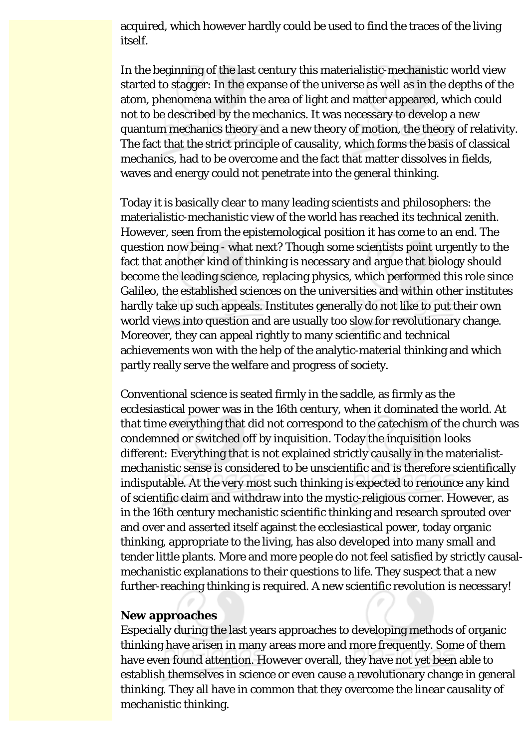acquired, which however hardly could be used to find the traces of the living itself.

In the beginning of the last century this materialistic-mechanistic world view started to stagger: In the expanse of the universe as well as in the depths of the atom, phenomena within the area of light and matter appeared, which could not to be described by the mechanics. It was necessary to develop a new quantum mechanics theory and a new theory of motion, the theory of relativity. The fact that the strict principle of causality, which forms the basis of classical mechanics, had to be overcome and the fact that matter dissolves in fields, waves and energy could not penetrate into the general thinking.

Today it is basically clear to many leading scientists and philosophers: the materialistic-mechanistic view of the world has reached its technical zenith. However, seen from the epistemological position it has come to an end. The question now being - what next? Though some scientists point urgently to the fact that another kind of thinking is necessary and argue that biology should become the leading science, replacing physics, which performed this role since Galileo, the established sciences on the universities and within other institutes hardly take up such appeals. Institutes generally do not like to put their own world views into question and are usually too slow for revolutionary change. Moreover, they can appeal rightly to many scientific and technical achievements won with the help of the analytic-material thinking and which partly really serve the welfare and progress of society.

Conventional science is seated firmly in the saddle, as firmly as the ecclesiastical power was in the 16th century, when it dominated the world. At that time everything that did not correspond to the catechism of the church was condemned or switched off by inquisition. Today the inquisition looks different: Everything that is not explained strictly causally in the materialistmechanistic sense is considered to be unscientific and is therefore scientifically indisputable. At the very most such thinking is expected to renounce any kind of scientific claim and withdraw into the mystic-religious corner. However, as in the 16th century mechanistic scientific thinking and research sprouted over and over and asserted itself against the ecclesiastical power, today organic thinking, appropriate to the living, has also developed into many small and tender little plants. More and more people do not feel satisfied by strictly causalmechanistic explanations to their questions to life. They suspect that a new further-reaching thinking is required. A new scientific revolution is necessary!

#### **New approaches**

Especially during the last years approaches to developing methods of organic thinking have arisen in many areas more and more frequently. Some of them have even found attention. However overall, they have not yet been able to establish themselves in science or even cause a revolutionary change in general thinking. They all have in common that they overcome the linear causality of mechanistic thinking.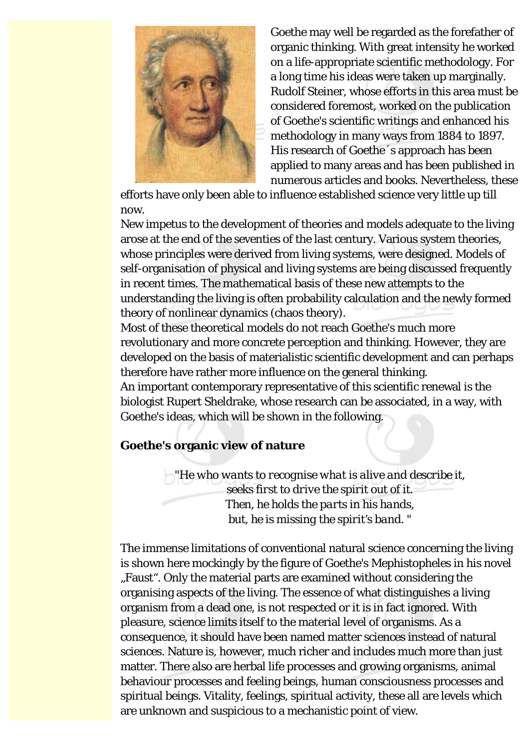

Goethe may well be regarded as the forefather of organic thinking. With great intensity he worked on a life-appropriate scientific methodology. For a long time his ideas were taken up marginally. Rudolf Steiner, whose efforts in this area must be considered foremost, worked on the publication of Goethe's scientific writings and enhanced his methodology in many ways from 1884 to 1897. His research of Goethe´s approach has been applied to many areas and has been published in numerous articles and books. Nevertheless, these

efforts have only been able to influence established science very little up till now.

New impetus to the development of theories and models adequate to the living arose at the end of the seventies of the last century. Various system theories, whose principles were derived from living systems, were designed. Models of self-organisation of physical and living systems are being discussed frequently in recent times. The mathematical basis of these new attempts to the understanding the living is often probability calculation and the newly formed theory of nonlinear dynamics (chaos theory).

Most of these theoretical models do not reach Goethe's much more revolutionary and more concrete perception and thinking. However, they are developed on the basis of materialistic scientific development and can perhaps therefore have rather more influence on the general thinking.

An important contemporary representative of this scientific renewal is the biologist Rupert Sheldrake, whose research can be associated, in a way, with Goethe's ideas, which will be shown in the following.

#### **Goethe's organic view of nature**

*"He who wants to recognise what is alive and describe it, seeks first to drive the spirit out of it. Then, he holds the parts in his hands, but, he is missing the spirit's band. "*

The immense limitations of conventional natural science concerning the living is shown here mockingly by the figure of Goethe's Mephistopheles in his novel "Faust". Only the material parts are examined without considering the organising aspects of the living. The essence of what distinguishes a living organism from a dead one, is not respected or it is in fact ignored. With pleasure, science limits itself to the material level of organisms. As a consequence, it should have been named matter sciences instead of natural sciences. Nature is, however, much richer and includes much more than just matter. There also are herbal life processes and growing organisms, animal behaviour processes and feeling beings, human consciousness processes and spiritual beings. Vitality, feelings, spiritual activity, these all are levels which are unknown and suspicious to a mechanistic point of view.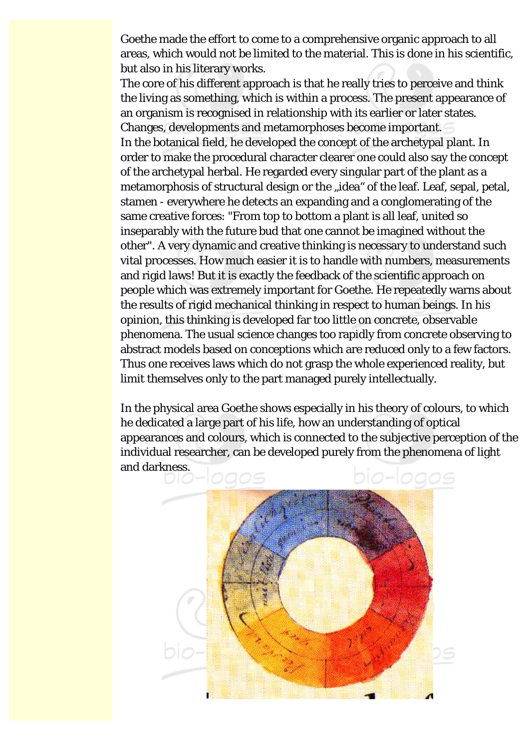Goethe made the effort to come to a comprehensive organic approach to all areas, which would not be limited to the material. This is done in his scientific, but also in his literary works.

The core of his different approach is that he really tries to perceive and think the living as something, which is within a process. The present appearance of an organism is recognised in relationship with its earlier or later states. Changes, developments and metamorphoses become important. In the botanical field, he developed the concept of the archetypal plant. In order to make the procedural character clearer one could also say the concept of the archetypal herbal. He regarded every singular part of the plant as a metamorphosis of structural design or the "idea" of the leaf. Leaf, sepal, petal, stamen - everywhere he detects an expanding and a conglomerating of the same creative forces: "From top to bottom a plant is all leaf, united so inseparably with the future bud that one cannot be imagined without the other". A very dynamic and creative thinking is necessary to understand such vital processes. How much easier it is to handle with numbers, measurements and rigid laws! But it is exactly the feedback of the scientific approach on people which was extremely important for Goethe. He repeatedly warns about the results of rigid mechanical thinking in respect to human beings. In his opinion, this thinking is developed far too little on concrete, observable phenomena. The usual science changes too rapidly from concrete observing to abstract models based on conceptions which are reduced only to a few factors. Thus one receives laws which do not grasp the whole experienced reality, but limit themselves only to the part managed purely intellectually.

In the physical area Goethe shows especially in his theory of colours, to which he dedicated a large part of his life, how an understanding of optical appearances and colours, which is connected to the subjective perception of the individual researcher, can be developed purely from the phenomena of light and darkness.

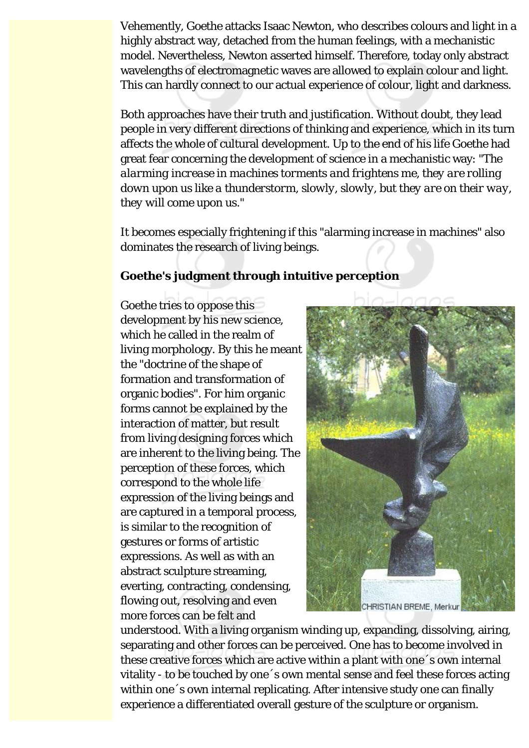Vehemently, Goethe attacks Isaac Newton, who describes colours and light in a highly abstract way, detached from the human feelings, with a mechanistic model. Nevertheless, Newton asserted himself. Therefore, today only abstract wavelengths of electromagnetic waves are allowed to explain colour and light. This can hardly connect to our actual experience of colour, light and darkness.

Both approaches have their truth and justification. Without doubt, they lead people in very different directions of thinking and experience, which in its turn affects the whole of cultural development. Up to the end of his life Goethe had great fear concerning the development of science in a mechanistic way: *"The alarming increase in machines torments and frightens me, they are rolling down upon us like a thunderstorm, slowly, slowly, but they are on their way, they will come upon us."*

It becomes especially frightening if this "alarming increase in machines" also dominates the research of living beings.

#### **Goethe's judgment through intuitive perception**

Goethe tries to oppose this development by his new science, which he called in the realm of living morphology. By this he meant the "doctrine of the shape of formation and transformation of organic bodies". For him organic forms cannot be explained by the interaction of matter, but result from living designing forces which are inherent to the living being. The perception of these forces, which correspond to the whole life expression of the living beings and are captured in a temporal process, is similar to the recognition of gestures or forms of artistic expressions. As well as with an abstract sculpture streaming, everting, contracting, condensing, flowing out, resolving and even more forces can be felt and



understood. With a living organism winding up, expanding, dissolving, airing, separating and other forces can be perceived. One has to become involved in these creative forces which are active within a plant with one´s own internal vitality - to be touched by one´s own mental sense and feel these forces acting within one 's own internal replicating. After intensive study one can finally experience a differentiated overall gesture of the sculpture or organism.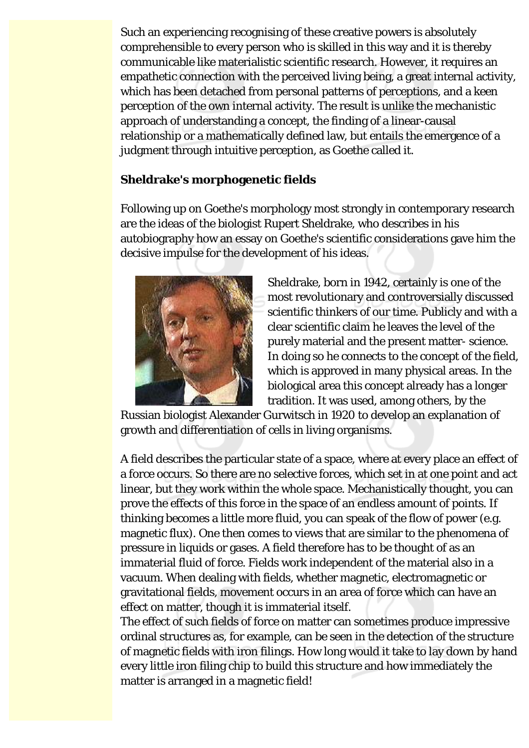Such an experiencing recognising of these creative powers is absolutely comprehensible to every person who is skilled in this way and it is thereby communicable like materialistic scientific research. However, it requires an empathetic connection with the perceived living being, a great internal activity, which has been detached from personal patterns of perceptions, and a keen perception of the own internal activity. The result is unlike the mechanistic approach of understanding a concept, the finding of a linear-causal relationship or a mathematically defined law, but entails the emergence of a judgment through intuitive perception, as Goethe called it.

#### **Sheldrake's morphogenetic fields**

Following up on Goethe's morphology most strongly in contemporary research are the ideas of the biologist Rupert Sheldrake, who describes in his autobiography how an essay on Goethe's scientific considerations gave him the decisive impulse for the development of his ideas.



Sheldrake, born in 1942, certainly is one of the most revolutionary and controversially discussed scientific thinkers of our time. Publicly and with a clear scientific claim he leaves the level of the purely material and the present matter- science. In doing so he connects to the concept of the field, which is approved in many physical areas. In the biological area this concept already has a longer tradition. It was used, among others, by the

Russian biologist Alexander Gurwitsch in 1920 to develop an explanation of growth and differentiation of cells in living organisms.

A field describes the particular state of a space, where at every place an effect of a force occurs. So there are no selective forces, which set in at one point and act linear, but they work within the whole space. Mechanistically thought, you can prove the effects of this force in the space of an endless amount of points. If thinking becomes a little more fluid, you can speak of the flow of power (e.g. magnetic flux). One then comes to views that are similar to the phenomena of pressure in liquids or gases. A field therefore has to be thought of as an immaterial fluid of force. Fields work independent of the material also in a vacuum. When dealing with fields, whether magnetic, electromagnetic or gravitational fields, movement occurs in an area of force which can have an effect on matter, though it is immaterial itself.

The effect of such fields of force on matter can sometimes produce impressive ordinal structures as, for example, can be seen in the detection of the structure of magnetic fields with iron filings. How long would it take to lay down by hand every little iron filing chip to build this structure and how immediately the matter is arranged in a magnetic field!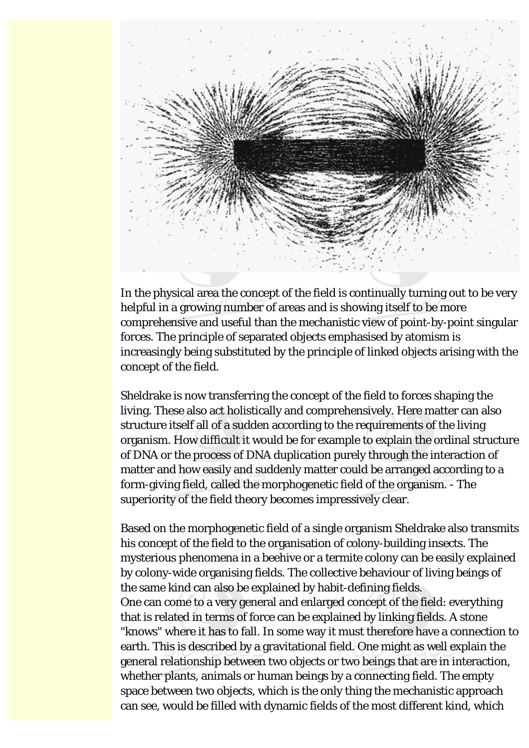

In the physical area the concept of the field is continually turning out to be very helpful in a growing number of areas and is showing itself to be more comprehensive and useful than the mechanistic view of point-by-point singular forces. The principle of separated objects emphasised by atomism is increasingly being substituted by the principle of linked objects arising with the concept of the field.

Sheldrake is now transferring the concept of the field to forces shaping the living. These also act holistically and comprehensively. Here matter can also structure itself all of a sudden according to the requirements of the living organism. How difficult it would be for example to explain the ordinal structure of DNA or the process of DNA duplication purely through the interaction of matter and how easily and suddenly matter could be arranged according to a form-giving field, called the morphogenetic field of the organism. - The superiority of the field theory becomes impressively clear.

Based on the morphogenetic field of a single organism Sheldrake also transmits his concept of the field to the organisation of colony-building insects. The mysterious phenomena in a beehive or a termite colony can be easily explained by colony-wide organising fields. The collective behaviour of living beings of the same kind can also be explained by habit-defining fields. One can come to a very general and enlarged concept of the field: everything that is related in terms of force can be explained by linking fields. A stone "knows" where it has to fall. In some way it must therefore have a connection to earth. This is described by a gravitational field. One might as well explain the general relationship between two objects or two beings that are in interaction, whether plants, animals or human beings by a connecting field. The empty space between two objects, which is the only thing the mechanistic approach can see, would be filled with dynamic fields of the most different kind, which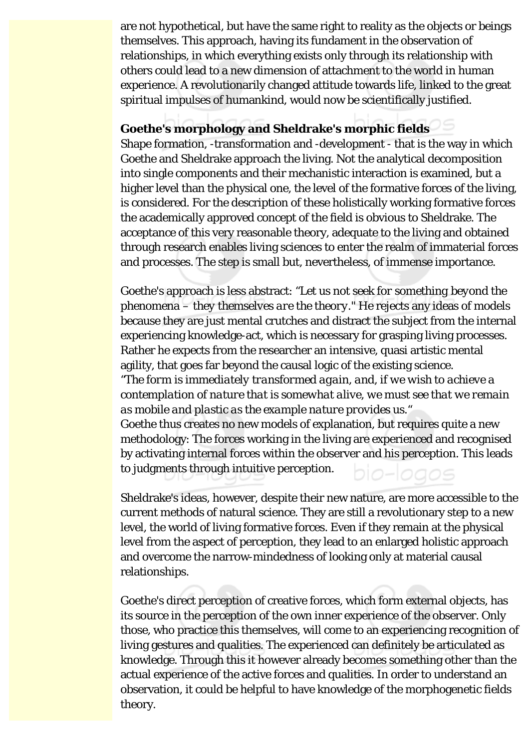are not hypothetical, but have the same right to reality as the objects or beings themselves. This approach, having its fundament in the observation of relationships, in which everything exists only through its relationship with others could lead to a new dimension of attachment to the world in human experience. A revolutionarily changed attitude towards life, linked to the great spiritual impulses of humankind, would now be scientifically justified.

#### **Goethe's morphology and Sheldrake's morphic fields**

Shape formation, -transformation and -development - that is the way in which Goethe and Sheldrake approach the living. Not the analytical decomposition into single components and their mechanistic interaction is examined, but a higher level than the physical one, the level of the formative forces of the living, is considered. For the description of these holistically working formative forces the academically approved concept of the field is obvious to Sheldrake. The acceptance of this very reasonable theory, adequate to the living and obtained through research enables living sciences to enter the realm of immaterial forces and processes. The step is small but, nevertheless, of immense importance.

Goethe's approach is less abstract: "*Let us not seek for something beyond the phenomena – they themselves are the theory*." He rejects any ideas of models because they are just mental crutches and distract the subject from the internal experiencing knowledge-act, which is necessary for grasping living processes. Rather he expects from the researcher an intensive, quasi artistic mental agility, that goes far beyond the causal logic of the existing science. *"The form is immediately transformed again, and, if we wish to achieve a contemplation of nature that is somewhat alive, we must see that we remain as mobile and plastic as the example nature provides us."* Goethe thus creates no new models of explanation, but requires quite a new methodology: The forces working in the living are experienced and recognised by activating internal forces within the observer and his perception. This leads to judgments through intuitive perception.

Sheldrake's ideas, however, despite their new nature, are more accessible to the current methods of natural science. They are still a revolutionary step to a new level, the world of living formative forces. Even if they remain at the physical level from the aspect of perception, they lead to an enlarged holistic approach and overcome the narrow-mindedness of looking only at material causal relationships.

Goethe's direct perception of creative forces, which form external objects, has its source in the perception of the own inner experience of the observer. Only those, who practice this themselves, will come to an experiencing recognition of living gestures and qualities. The experienced can definitely be articulated as knowledge. Through this it however already becomes something other than the actual experience of the active forces and qualities. In order to understand an observation, it could be helpful to have knowledge of the morphogenetic fields theory.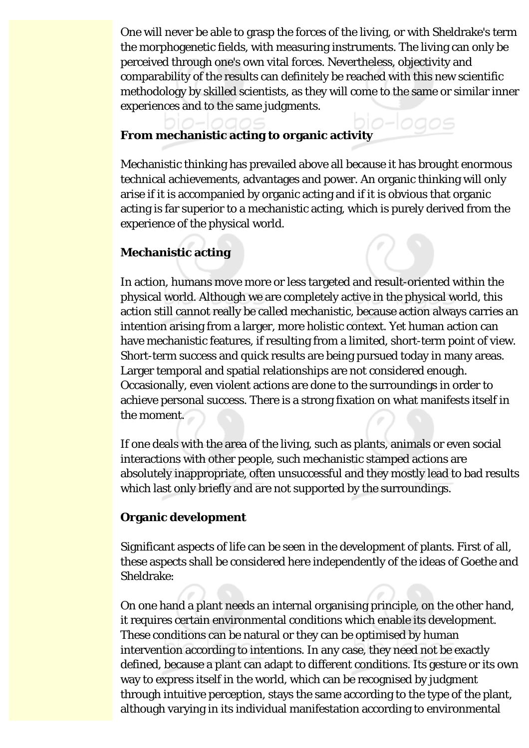One will never be able to grasp the forces of the living, or with Sheldrake's term the morphogenetic fields, with measuring instruments. The living can only be perceived through one's own vital forces. Nevertheless, objectivity and comparability of the results can definitely be reached with this new scientific methodology by skilled scientists, as they will come to the same or similar inner experiences and to the same judgments.

## **From mechanistic acting to organic activity**

Mechanistic thinking has prevailed above all because it has brought enormous technical achievements, advantages and power. An organic thinking will only arise if it is accompanied by organic acting and if it is obvious that organic acting is far superior to a mechanistic acting, which is purely derived from the experience of the physical world.

#### **Mechanistic acting**

In action, humans move more or less targeted and result-oriented within the physical world. Although we are completely active in the physical world, this action still cannot really be called mechanistic, because action always carries an intention arising from a larger, more holistic context. Yet human action can have mechanistic features, if resulting from a limited, short-term point of view. Short-term success and quick results are being pursued today in many areas. Larger temporal and spatial relationships are not considered enough. Occasionally, even violent actions are done to the surroundings in order to achieve personal success. There is a strong fixation on what manifests itself in the moment.

If one deals with the area of the living, such as plants, animals or even social interactions with other people, such mechanistic stamped actions are absolutely inappropriate, often unsuccessful and they mostly lead to bad results which last only briefly and are not supported by the surroundings.

#### **Organic development**

Significant aspects of life can be seen in the development of plants. First of all, these aspects shall be considered here independently of the ideas of Goethe and Sheldrake:

On one hand a plant needs an internal organising principle, on the other hand, it requires certain environmental conditions which enable its development. These conditions can be natural or they can be optimised by human intervention according to intentions. In any case, they need not be exactly defined, because a plant can adapt to different conditions. Its gesture or its own way to express itself in the world, which can be recognised by judgment through intuitive perception, stays the same according to the type of the plant, although varying in its individual manifestation according to environmental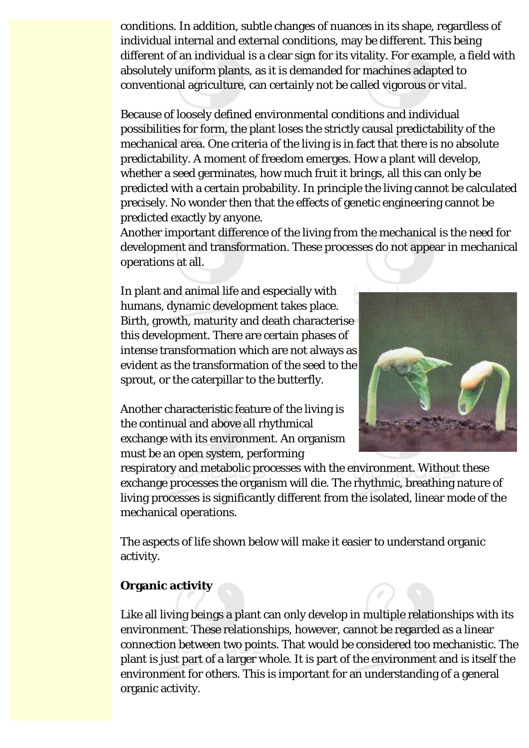conditions. In addition, subtle changes of nuances in its shape, regardless of individual internal and external conditions, may be different. This being different of an individual is a clear sign for its vitality. For example, a field with absolutely uniform plants, as it is demanded for machines adapted to conventional agriculture, can certainly not be called vigorous or vital.

Because of loosely defined environmental conditions and individual possibilities for form, the plant loses the strictly causal predictability of the mechanical area. One criteria of the living is in fact that there is no absolute predictability. A moment of freedom emerges. How a plant will develop, whether a seed germinates, how much fruit it brings, all this can only be predicted with a certain probability. In principle the living cannot be calculated precisely. No wonder then that the effects of genetic engineering cannot be predicted exactly by anyone.

Another important difference of the living from the mechanical is the need for development and transformation. These processes do not appear in mechanical operations at all.

In plant and animal life and especially with humans, dynamic development takes place. Birth, growth, maturity and death characterise this development. There are certain phases of intense transformation which are not always as evident as the transformation of the seed to the sprout, or the caterpillar to the butterfly.

Another characteristic feature of the living is the continual and above all rhythmical exchange with its environment. An organism must be an open system, performing



respiratory and metabolic processes with the environment. Without these exchange processes the organism will die. The rhythmic, breathing nature of living processes is significantly different from the isolated, linear mode of the mechanical operations.

The aspects of life shown below will make it easier to understand organic activity.

#### **Organic activity**

Like all living beings a plant can only develop in multiple relationships with its environment. These relationships, however, cannot be regarded as a linear connection between two points. That would be considered too mechanistic. The plant is just part of a larger whole. It is part of the environment and is itself the environment for others. This is important for an understanding of a general organic activity.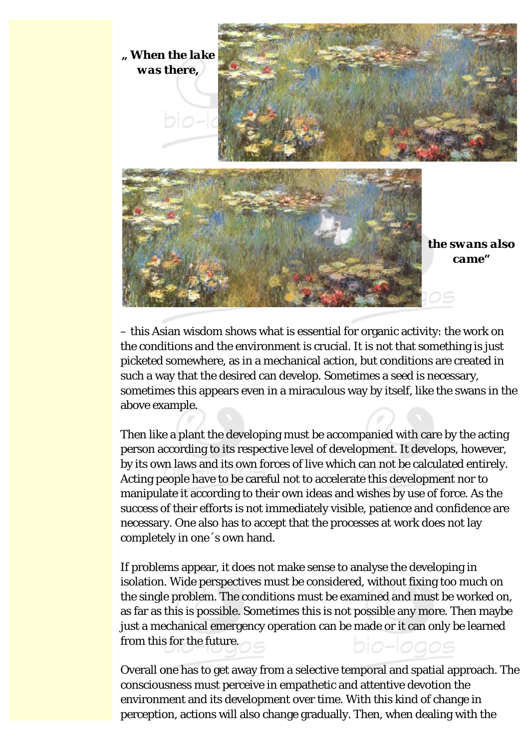

– this Asian wisdom shows what is essential for organic activity: the work on the conditions and the environment is crucial. It is not that something is just picketed somewhere, as in a mechanical action, but conditions are created in such a way that the desired can develop. Sometimes a seed is necessary, sometimes this appears even in a miraculous way by itself, like the swans in the above example.

Then like a plant the developing must be accompanied with care by the acting person according to its respective level of development. It develops, however, by its own laws and its own forces of live which can not be calculated entirely. Acting people have to be careful not to accelerate this development nor to manipulate it according to their own ideas and wishes by use of force. As the success of their efforts is not immediately visible, patience and confidence are necessary. One also has to accept that the processes at work does not lay completely in one´s own hand.

If problems appear, it does not make sense to analyse the developing in isolation. Wide perspectives must be considered, without fixing too much on the single problem. The conditions must be examined and must be worked on, as far as this is possible. Sometimes this is not possible any more. Then maybe just a mechanical emergency operation can be made or it can only be learned from this for the future.

Overall one has to get away from a selective temporal and spatial approach. The consciousness must perceive in empathetic and attentive devotion the environment and its development over time. With this kind of change in perception, actions will also change gradually. Then, when dealing with the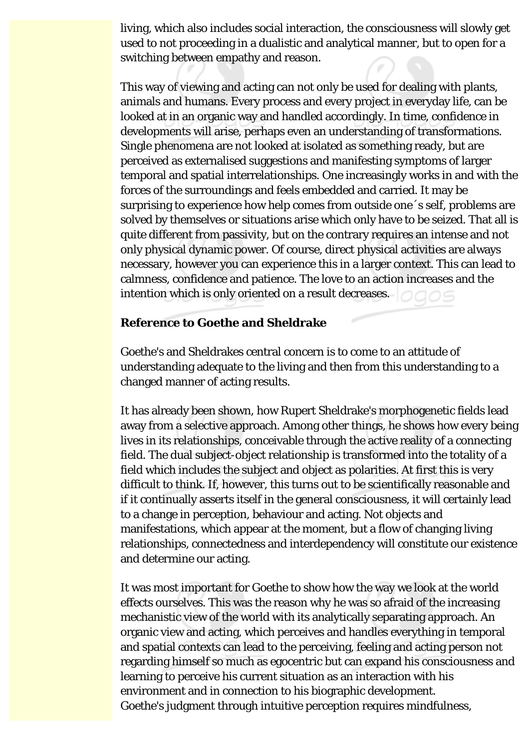living, which also includes social interaction, the consciousness will slowly get used to not proceeding in a dualistic and analytical manner, but to open for a switching between empathy and reason.

This way of viewing and acting can not only be used for dealing with plants, animals and humans. Every process and every project in everyday life, can be looked at in an organic way and handled accordingly. In time, confidence in developments will arise, perhaps even an understanding of transformations. Single phenomena are not looked at isolated as something ready, but are perceived as externalised suggestions and manifesting symptoms of larger temporal and spatial interrelationships. One increasingly works in and with the forces of the surroundings and feels embedded and carried. It may be surprising to experience how help comes from outside one´s self, problems are solved by themselves or situations arise which only have to be seized. That all is quite different from passivity, but on the contrary requires an intense and not only physical dynamic power. Of course, direct physical activities are always necessary, however you can experience this in a larger context. This can lead to calmness, confidence and patience. The love to an action increases and the intention which is only oriented on a result decreases.

#### **Reference to Goethe and Sheldrake**

Goethe's and Sheldrakes central concern is to come to an attitude of understanding adequate to the living and then from this understanding to a changed manner of acting results.

It has already been shown, how Rupert Sheldrake's morphogenetic fields lead away from a selective approach. Among other things, he shows how every being lives in its relationships, conceivable through the active reality of a connecting field. The dual subject-object relationship is transformed into the totality of a field which includes the subject and object as polarities. At first this is very difficult to think. If, however, this turns out to be scientifically reasonable and if it continually asserts itself in the general consciousness, it will certainly lead to a change in perception, behaviour and acting. Not objects and manifestations, which appear at the moment, but a flow of changing living relationships, connectedness and interdependency will constitute our existence and determine our acting.

It was most important for Goethe to show how the way we look at the world effects ourselves. This was the reason why he was so afraid of the increasing mechanistic view of the world with its analytically separating approach. An organic view and acting, which perceives and handles everything in temporal and spatial contexts can lead to the perceiving, feeling and acting person not regarding himself so much as egocentric but can expand his consciousness and learning to perceive his current situation as an interaction with his environment and in connection to his biographic development. Goethe's judgment through intuitive perception requires mindfulness,